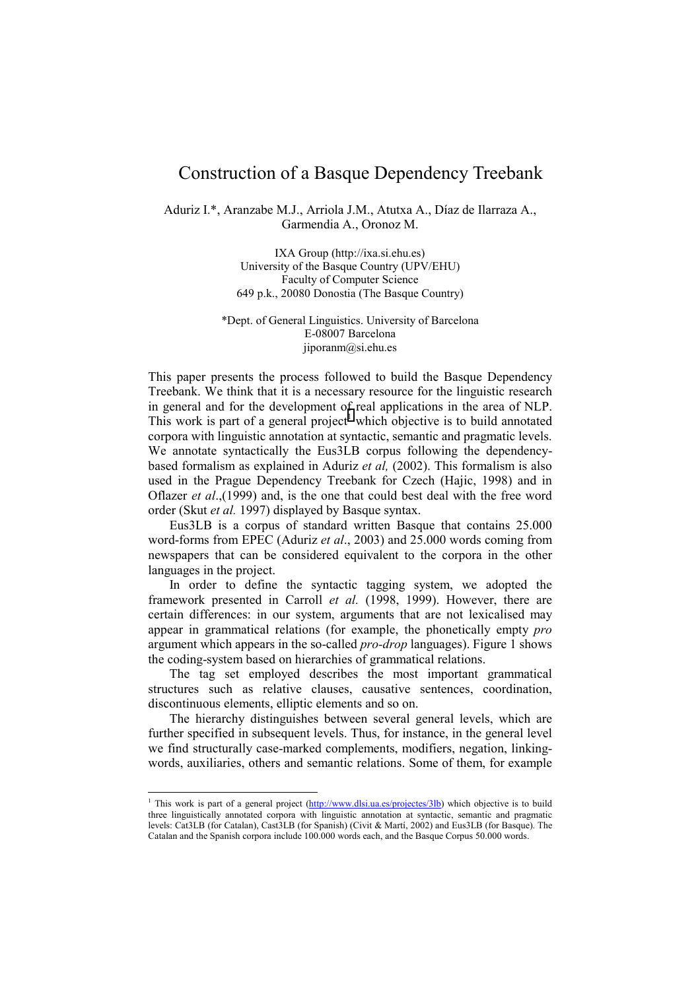## Construction of a Basque Dependency Treebank

Aduriz I.\*, Aranzabe M.J., Arriola J.M., Atutxa A., Díaz de Ilarraza A., Garmendia A., Oronoz M.

> IXA Group (http://ixa.si.ehu.es) University of the Basque Country (UPV/EHU) Faculty of Computer Science 649 p.k., 20080 Donostia (The Basque Country)

\*Dept. of General Linguistics. University of Barcelona E-08007 Barcelona jiporanm@si.ehu.es

This paper presents the process followed to build the Basque Dependency Treebank. We think that it is a necessary resource for the linguistic research in general and for the development of real applications in the area of NLP. This work is part of a general project<sup>1</sup> which objective is to build annotated corpora with linguistic annotation at syntactic, semantic and pragmatic levels. We annotate syntactically the Eus3LB corpus following the dependencybased formalism as explained in Aduriz *et al,* (2002). This formalism is also used in the Prague Dependency Treebank for Czech (Hajic, 1998) and in Oflazer *et al*.,(1999) and, is the one that could best deal with the free word order (Skut *et al.* 1997) displayed by Basque syntax.

Eus3LB is a corpus of standard written Basque that contains 25.000 word-forms from EPEC (Aduriz *et al*., 2003) and 25.000 words coming from newspapers that can be considered equivalent to the corpora in the other languages in the project.

In order to define the syntactic tagging system, we adopted the framework presented in Carroll *et al.* (1998, 1999). However, there are certain differences: in our system, arguments that are not lexicalised may appear in grammatical relations (for example, the phonetically empty *pro*  argument which appears in the so-called *pro-drop* languages). Figure 1 shows the coding-system based on hierarchies of grammatical relations.

The tag set employed describes the most important grammatical structures such as relative clauses, causative sentences, coordination, discontinuous elements, elliptic elements and so on.

The hierarchy distinguishes between several general levels, which are further specified in subsequent levels. Thus, for instance, in the general level we find structurally case-marked complements, modifiers, negation, linkingwords, auxiliaries, others and semantic relations. Some of them, for example

<sup>&</sup>lt;sup>1</sup> This work is part of a general project (http://www.dlsi.ua.es/projectes/3lb) which objective is to build three linguistically annotated corpora with linguistic annotation at syntactic, semantic and pragmatic levels: Cat3LB (for Catalan), Cast3LB (for Spanish) (Civit & Martí, 2002) and Eus3LB (for Basque). The Catalan and the Spanish corpora include 100.000 words each, and the Basque Corpus 50.000 words.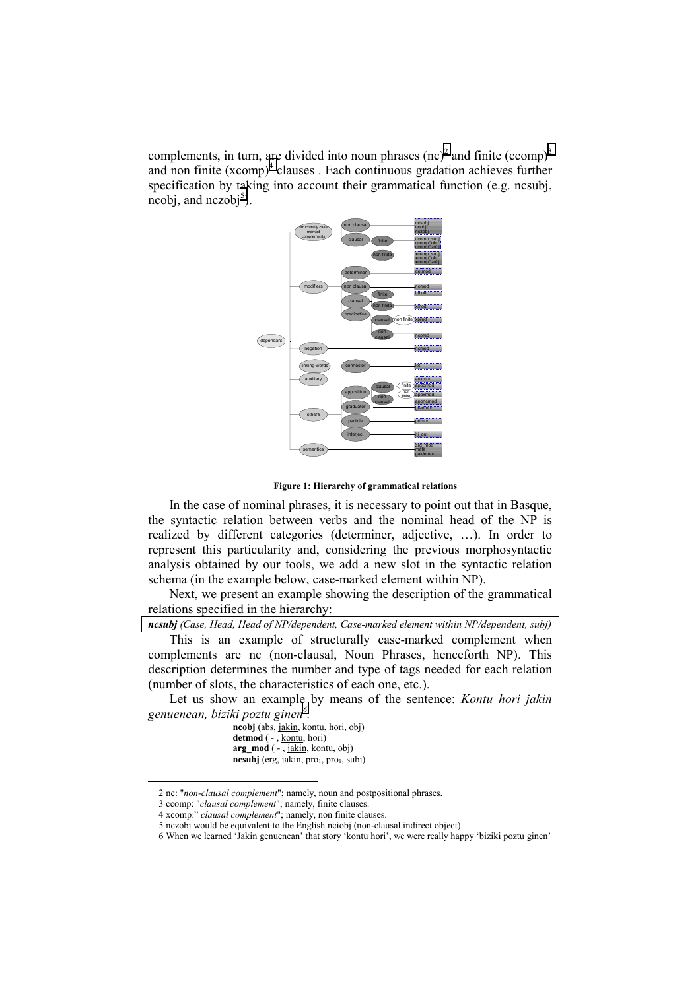complements, in turn, are divided into noun phrases  $(\text{nc})^2$  and finite  $(\text{ccomp})^3$ and non finite (xcomp)<sup>4</sup> clauses . Each continuous gradation achieves further specification by taking into account their grammatical function (e.g. ncsubj, ncobj, and nczobj**<sup>5</sup>** ).



**Figure 1: Hierarchy of grammatical relations**

In the case of nominal phrases, it is necessary to point out that in Basque, the syntactic relation between verbs and the nominal head of the NP is realized by different categories (determiner, adjective, …). In order to represent this particularity and, considering the previous morphosyntactic analysis obtained by our tools, we add a new slot in the syntactic relation schema (in the example below, case-marked element within NP).

Next, we present an example showing the description of the grammatical relations specified in the hierarchy:

*ncsubj (Case, Head, Head of NP/dependent, Case-marked element within NP/dependent, subj)*

This is an example of structurally case-marked complement when complements are nc (non-clausal, Noun Phrases, henceforth NP). This description determines the number and type of tags needed for each relation (number of slots, the characteristics of each one, etc.).

Let us show an example by means of the sentence: *Kontu hori jakin genuenean, biziki poztu ginen<sup>6</sup> .*

**ncobj** (abs, jakin, kontu, hori, obj) **detmod** ( - , kontu, hori) **arg\_mod** ( - , jakin, kontu, obj) ncsubj (erg, jakin, pro<sub>1</sub>, pro<sub>1</sub>, subj)

l

<sup>2</sup> nc: "*non-clausal complement*"; namely, noun and postpositional phrases.

<sup>3</sup> ccomp: "*clausal complement*"; namely, finite clauses.

<sup>4</sup> xcomp:" *clausal complement*"; namely, non finite clauses.

<sup>5</sup> nczobj would be equivalent to the English nciobj (non-clausal indirect object).

<sup>6</sup> When we learned 'Jakin genuenean' that story 'kontu hori', we were really happy 'biziki poztu ginen'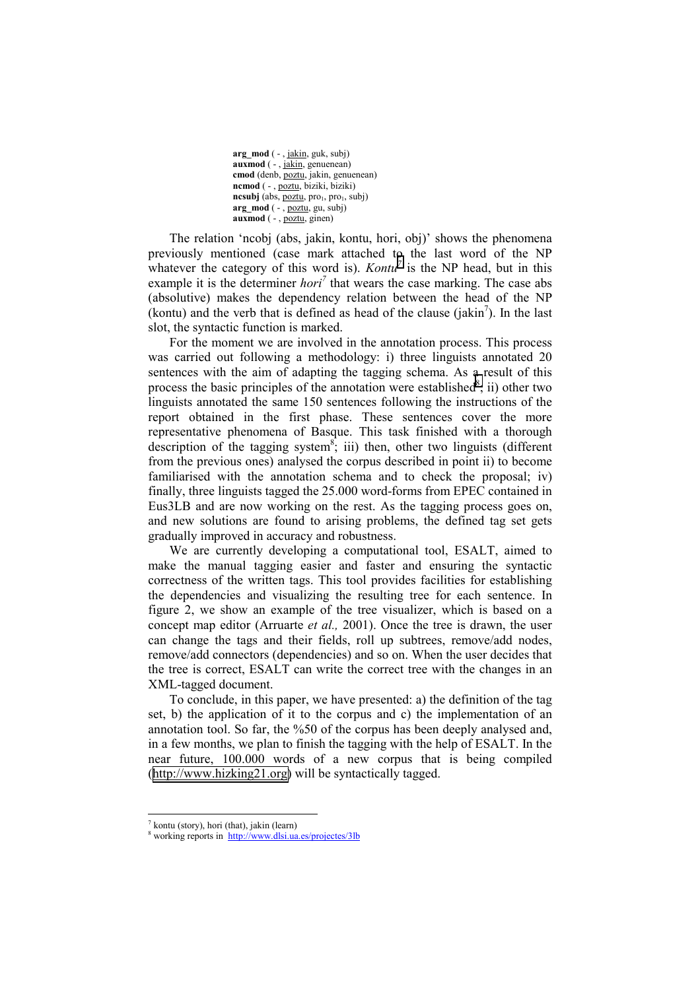**arg\_mod** ( - , jakin, guk, subj) **auxmod** ( - , jakin, genuenean) **cmod** (denb, poztu, jakin, genuenean) **ncmod** ( - , poztu, biziki, biziki) ncsubj (abs, poztu, pro<sub>1</sub>, pro<sub>1</sub>, subj) **arg\_mod** ( - , poztu, gu, subj) **auxmod** ( - , poztu, ginen)

The relation 'ncobj (abs, jakin, kontu, hori, obj)' shows the phenomena previously mentioned (case mark attached to the last word of the NP whatever the category of this word is). *Kontu*<sup> $7$ </sup> is the NP head, but in this example it is the determiner *hori*<sup> $7$ </sup> that wears the case marking. The case abs (absolutive) makes the dependency relation between the head of the NP (kontu) and the verb that is defined as head of the clause  $(jakin^7)$ . In the last slot, the syntactic function is marked.

For the moment we are involved in the annotation process. This process was carried out following a methodology: i) three linguists annotated 20 sentences with the aim of adapting the tagging schema. As a result of this process the basic principles of the annotation were established $s$ ; ii) other two linguists annotated the same 150 sentences following the instructions of the report obtained in the first phase. These sentences cover the more representative phenomena of Basque. This task finished with a thorough description of the tagging system<sup>8</sup>; iii) then, other two linguists (different from the previous ones) analysed the corpus described in point ii) to become familiarised with the annotation schema and to check the proposal; iv) finally, three linguists tagged the 25.000 word-forms from EPEC contained in Eus3LB and are now working on the rest. As the tagging process goes on, and new solutions are found to arising problems, the defined tag set gets gradually improved in accuracy and robustness.

We are currently developing a computational tool, ESALT, aimed to make the manual tagging easier and faster and ensuring the syntactic correctness of the written tags. This tool provides facilities for establishing the dependencies and visualizing the resulting tree for each sentence. In figure 2, we show an example of the tree visualizer, which is based on a concept map editor (Arruarte *et al.,* 2001). Once the tree is drawn, the user can change the tags and their fields, roll up subtrees, remove/add nodes, remove/add connectors (dependencies) and so on. When the user decides that the tree is correct, ESALT can write the correct tree with the changes in an XML-tagged document.

To conclude, in this paper, we have presented: a) the definition of the tag set, b) the application of it to the corpus and c) the implementation of an annotation tool. So far, the %50 of the corpus has been deeply analysed and, in a few months, we plan to finish the tagging with the help of ESALT. In the near future, 100.000 words of a new corpus that is being compiled ([http://www.hizking21.org\)](http://www.hizking21.org/) will be syntactically tagged.

 $\overline{a}$ 

<sup>7</sup> kontu (story), hori (that), jakin (learn)

<sup>&</sup>lt;sup>8</sup> working reports in http://www.dlsi.ua.es/projectes/3lb